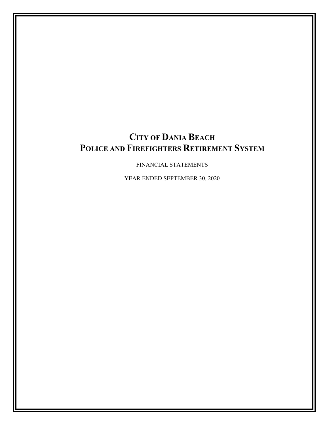FINANCIAL STATEMENTS

YEAR ENDED SEPTEMBER 30, 2020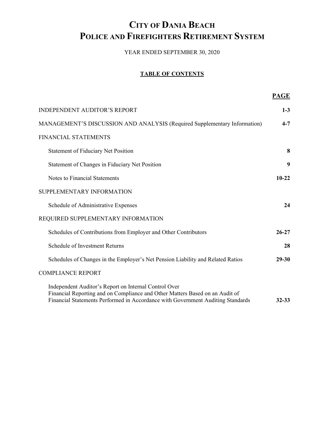YEAR ENDED SEPTEMBER 30, 2020

## **TABLE OF CONTENTS**

|                                                                                                                                                                                                                          | <b>PAGE</b> |
|--------------------------------------------------------------------------------------------------------------------------------------------------------------------------------------------------------------------------|-------------|
| <b>INDEPENDENT AUDITOR'S REPORT</b>                                                                                                                                                                                      | $1 - 3$     |
| MANAGEMENT'S DISCUSSION AND ANALYSIS (Required Supplementary Information)                                                                                                                                                | $4 - 7$     |
| FINANCIAL STATEMENTS                                                                                                                                                                                                     |             |
| <b>Statement of Fiduciary Net Position</b>                                                                                                                                                                               | 8           |
| Statement of Changes in Fiduciary Net Position                                                                                                                                                                           | 9           |
| Notes to Financial Statements                                                                                                                                                                                            | $10 - 22$   |
| SUPPLEMENTARY INFORMATION                                                                                                                                                                                                |             |
| Schedule of Administrative Expenses                                                                                                                                                                                      | 24          |
| REQUIRED SUPPLEMENTARY INFORMATION                                                                                                                                                                                       |             |
| Schedules of Contributions from Employer and Other Contributors                                                                                                                                                          | $26 - 27$   |
| Schedule of Investment Returns                                                                                                                                                                                           | 28          |
| Schedules of Changes in the Employer's Net Pension Liability and Related Ratios                                                                                                                                          | $29 - 30$   |
| <b>COMPLIANCE REPORT</b>                                                                                                                                                                                                 |             |
| Independent Auditor's Report on Internal Control Over<br>Financial Reporting and on Compliance and Other Matters Based on an Audit of<br>Financial Statements Performed in Accordance with Government Auditing Standards | $32 - 33$   |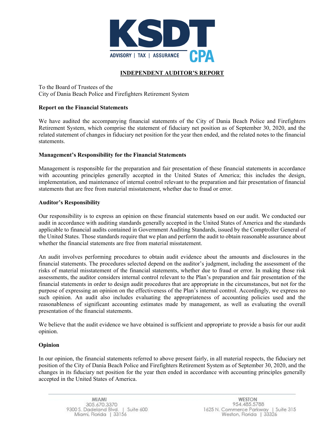

## **INDEPENDENT AUDITOR'S REPORT**

To the Board of Trustees of the City of Dania Beach Police and Firefighters Retirement System

### **Report on the Financial Statements**

We have audited the accompanying financial statements of the City of Dania Beach Police and Firefighters Retirement System, which comprise the statement of fiduciary net position as of September 30, 2020, and the related statement of changes in fiduciary net position for the year then ended, and the related notes to the financial statements.

### **Management's Responsibility for the Financial Statements**

Management is responsible for the preparation and fair presentation of these financial statements in accordance with accounting principles generally accepted in the United States of America; this includes the design, implementation, and maintenance of internal control relevant to the preparation and fair presentation of financial statements that are free from material misstatement, whether due to fraud or error.

#### **Auditor's Responsibility**

Our responsibility is to express an opinion on these financial statements based on our audit. We conducted our audit in accordance with auditing standards generally accepted in the United States of America and the standards applicable to financial audits contained in Government Auditing Standards, issued by the Comptroller General of the United States. Those standards require that we plan and perform the audit to obtain reasonable assurance about whether the financial statements are free from material misstatement.

An audit involves performing procedures to obtain audit evidence about the amounts and disclosures in the financial statements. The procedures selected depend on the auditor's judgment, including the assessment of the risks of material misstatement of the financial statements, whether due to fraud or error. In making those risk assessments, the auditor considers internal control relevant to the Plan's preparation and fair presentation of the financial statements in order to design audit procedures that are appropriate in the circumstances, but not for the purpose of expressing an opinion on the effectiveness of the Plan's internal control. Accordingly, we express no such opinion. An audit also includes evaluating the appropriateness of accounting policies used and the reasonableness of significant accounting estimates made by management, as well as evaluating the overall presentation of the financial statements.

We believe that the audit evidence we have obtained is sufficient and appropriate to provide a basis for our audit opinion.

### **Opinion**

In our opinion, the financial statements referred to above present fairly, in all material respects, the fiduciary net position of the City of Dania Beach Police and Firefighters Retirement System as of September 30, 2020, and the changes in its fiduciary net position for the year then ended in accordance with accounting principles generally accepted in the United States of America.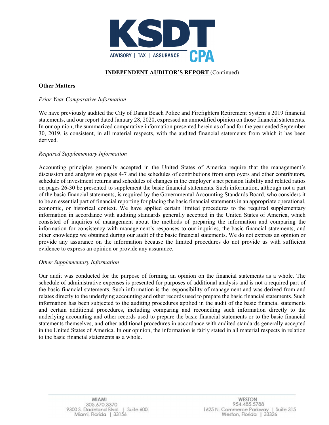

## **INDEPENDENT AUDITOR'S REPORT** (Continued)

## **Other Matters**

### *Prior Year Comparative Information*

We have previously audited the City of Dania Beach Police and Firefighters Retirement System's 2019 financial statements, and our report dated January 28, 2020, expressed an unmodified opinion on those financial statements. In our opinion, the summarized comparative information presented herein as of and for the year ended September 30, 2019, is consistent, in all material respects, with the audited financial statements from which it has been derived.

### *Required Supplementary Information*

Accounting principles generally accepted in the United States of America require that the management's discussion and analysis on pages 4-7 and the schedules of contributions from employers and other contributors, schedule of investment returns and schedules of changes in the employer's net pension liability and related ratios on pages 26-30 be presented to supplement the basic financial statements. Such information, although not a part of the basic financial statements, is required by the Governmental Accounting Standards Board, who considers it to be an essential part of financial reporting for placing the basic financial statements in an appropriate operational, economic, or historical context. We have applied certain limited procedures to the required supplementary information in accordance with auditing standards generally accepted in the United States of America, which consisted of inquiries of management about the methods of preparing the information and comparing the information for consistency with management's responses to our inquiries, the basic financial statements, and other knowledge we obtained during our audit of the basic financial statements. We do not express an opinion or provide any assurance on the information because the limited procedures do not provide us with sufficient evidence to express an opinion or provide any assurance.

### *Other Supplementary Information*

Our audit was conducted for the purpose of forming an opinion on the financial statements as a whole. The schedule of administrative expenses is presented for purposes of additional analysis and is not a required part of the basic financial statements. Such information is the responsibility of management and was derived from and relates directly to the underlying accounting and other records used to prepare the basic financial statements. Such information has been subjected to the auditing procedures applied in the audit of the basic financial statements and certain additional procedures, including comparing and reconciling such information directly to the underlying accounting and other records used to prepare the basic financial statements or to the basic financial statements themselves, and other additional procedures in accordance with audited standards generally accepted in the United States of America. In our opinion, the information is fairly stated in all material respects in relation to the basic financial statements as a whole.

**WESTON** 954.485.5788 1625 N. Commerce Parkway | Suite 315 Weston, Florida | 33326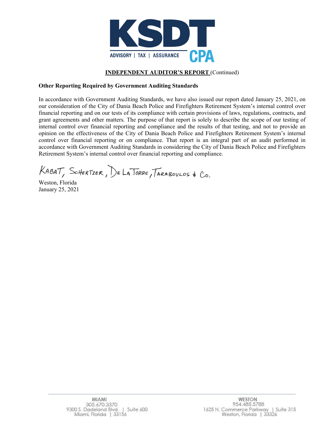

## **INDEPENDENT AUDITOR'S REPORT** (Continued)

## **Other Reporting Required by Government Auditing Standards**

In accordance with Government Auditing Standards, we have also issued our report dated January 25, 2021, on our consideration of the City of Dania Beach Police and Firefighters Retirement System's internal control over financial reporting and on our tests of its compliance with certain provisions of laws, regulations, contracts, and grant agreements and other matters. The purpose of that report is solely to describe the scope of our testing of internal control over financial reporting and compliance and the results of that testing, and not to provide an opinion on the effectiveness of the City of Dania Beach Police and Firefighters Retirement System's internal control over financial reporting or on compliance. That report is an integral part of an audit performed in accordance with Government Auditing Standards in considering the City of Dania Beach Police and Firefighters Retirement System's internal control over financial reporting and compliance.

KABAT, SCHERTZER, DE LA TORRE, TARABOULOS & Co.

Weston, Florida January 25, 2021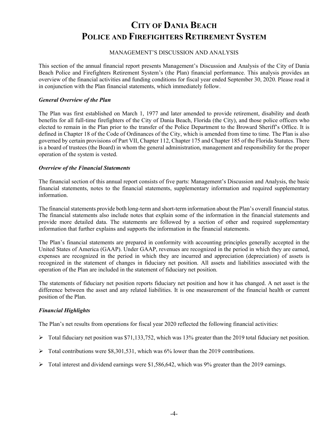### MANAGEMENT'S DISCUSSION AND ANALYSIS

This section of the annual financial report presents Management's Discussion and Analysis of the City of Dania Beach Police and Firefighters Retirement System's (the Plan) financial performance. This analysis provides an overview of the financial activities and funding conditions for fiscal year ended September 30, 2020. Please read it in conjunction with the Plan financial statements, which immediately follow.

### *General Overview of the Plan*

The Plan was first established on March 1, 1977 and later amended to provide retirement, disability and death benefits for all full-time firefighters of the City of Dania Beach, Florida (the City), and those police officers who elected to remain in the Plan prior to the transfer of the Police Department to the Broward Sheriff's Office. It is defined in Chapter 18 of the Code of Ordinances of the City, which is amended from time to time. The Plan is also governed by certain provisions of Part VII, Chapter 112, Chapter 175 and Chapter 185 of the Florida Statutes. There is a board of trustees (the Board) in whom the general administration, management and responsibility for the proper operation of the system is vested.

#### *Overview of the Financial Statements*

The financial section of this annual report consists of five parts: Management's Discussion and Analysis, the basic financial statements, notes to the financial statements, supplementary information and required supplementary information.

The financial statements provide both long-term and short-term information about the Plan's overall financial status. The financial statements also include notes that explain some of the information in the financial statements and provide more detailed data. The statements are followed by a section of other and required supplementary information that further explains and supports the information in the financial statements.

The Plan's financial statements are prepared in conformity with accounting principles generally accepted in the United States of America (GAAP). Under GAAP, revenues are recognized in the period in which they are earned, expenses are recognized in the period in which they are incurred and appreciation (depreciation) of assets is recognized in the statement of changes in fiduciary net position. All assets and liabilities associated with the operation of the Plan are included in the statement of fiduciary net position.

The statements of fiduciary net position reports fiduciary net position and how it has changed. A net asset is the difference between the asset and any related liabilities. It is one measurement of the financial health or current position of the Plan.

### *Financial Highlights*

The Plan's net results from operations for fiscal year 2020 reflected the following financial activities:

- $\triangleright$  Total fiduciary net position was \$71,133,752, which was 13% greater than the 2019 total fiduciary net position.
- $\triangleright$  Total contributions were \$8,301,531, which was 6% lower than the 2019 contributions.
- $\triangleright$  Total interest and dividend earnings were \$1,586,642, which was 9% greater than the 2019 earnings.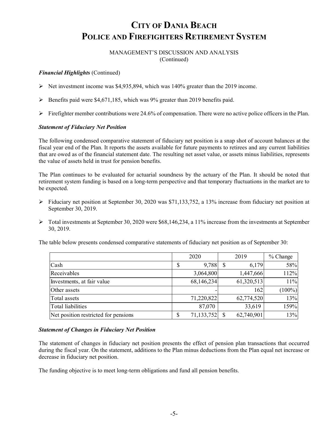MANAGEMENT'S DISCUSSION AND ANALYSIS (Continued)

### *Financial Highlights* (Continued)

- Net investment income was \$4,935,894, which was 140% greater than the 2019 income.
- $\triangleright$  Benefits paid were \$4,671,185, which was 9% greater than 2019 benefits paid.
- Firefighter member contributions were 24.6% of compensation. There were no active police officers in the Plan.

## *Statement of Fiduciary Net Position*

The following condensed comparative statement of fiduciary net position is a snap shot of account balances at the fiscal year end of the Plan. It reports the assets available for future payments to retirees and any current liabilities that are owed as of the financial statement date. The resulting net asset value, or assets minus liabilities, represents the value of assets held in trust for pension benefits.

The Plan continues to be evaluated for actuarial soundness by the actuary of the Plan. It should be noted that retirement system funding is based on a long-term perspective and that temporary fluctuations in the market are to be expected.

- $\triangleright$  Fiduciary net position at September 30, 2020 was \$71,133,752, a 13% increase from fiduciary net position at September 30, 2019.
- $\triangleright$  Total investments at September 30, 2020 were \$68,146,234, a 11% increase from the investments at September 30, 2019.

The table below presents condensed comparative statements of fiduciary net position as of September 30:

|                                      | 2020             | 2019       | $%$ Change |
|--------------------------------------|------------------|------------|------------|
| Cash                                 | \$<br>9,788      | 6,179      | 58%        |
| Receivables                          | 3,064,800        | 1,447,666  | 112%       |
| Investments, at fair value           | 68,146,234       | 61,320,513 | 11%        |
| Other assets                         |                  | 162        | $(100\%)$  |
| Total assets                         | 71,220,822       | 62,774,520 | 13%        |
| <b>Total liabilities</b>             | 87,070           | 33,619     | 159%       |
| Net position restricted for pensions | \$<br>71,133,752 | 62,740,901 | 13%        |

### *Statement of Changes in Fiduciary Net Position*

The statement of changes in fiduciary net position presents the effect of pension plan transactions that occurred during the fiscal year. On the statement, additions to the Plan minus deductions from the Plan equal net increase or decrease in fiduciary net position.

The funding objective is to meet long-term obligations and fund all pension benefits.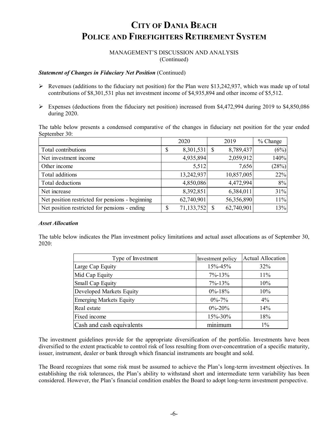MANAGEMENT'S DISCUSSION AND ANALYSIS (Continued)

### **Statement of Changes in Fiduciary Net Position** (Continued)

- Revenues (additions to the fiduciary net position) for the Plan were \$13,242,937, which was made up of total contributions of \$8,301,531 plus net investment income of \$4,935,894 and other income of \$5,512.
- Expenses (deductions from the fiduciary net position) increased from \$4,472,994 during 2019 to \$4,850,086 during 2020.

The table below presents a condensed comparative of the changes in fiduciary net position for the year ended September 30:

|                                                  | 2020 |            | 2019 |            | $%$ Change |
|--------------------------------------------------|------|------------|------|------------|------------|
| Total contributions                              | \$   | 8,301,531  | S    | 8,789,437  | (6%)       |
| Net investment income                            |      | 4,935,894  |      | 2,059,912  | 140%       |
| Other income                                     |      | 5,512      |      | 7,656      | (28%)      |
| Total additions                                  |      | 13,242,937 |      | 10,857,005 | 22%        |
| Total deductions                                 |      | 4,850,086  |      | 4,472,994  | 8%         |
| Net increase                                     |      | 8,392,851  |      | 6,384,011  | 31%        |
| Net position restricted for pensions - beginning |      | 62,740,901 |      | 56,356,890 | 11%        |
| Net position restricted for pensions - ending    | \$   | 71,133,752 |      | 62,740,901 | 13%        |

#### *Asset Allocation*

The table below indicates the Plan investment policy limitations and actual asset allocations as of September 30, 2020:

| Type of Investment             | Investment policy | <b>Actual Allocation</b> |
|--------------------------------|-------------------|--------------------------|
| Large Cap Equity               | 15%-45%           | 32%                      |
| Mid Cap Equity                 | $7\% - 13\%$      | 11%                      |
| Small Cap Equity               | $7\% - 13\%$      | 10%                      |
| Developed Markets Equity       | $0\% - 18\%$      | 10%                      |
| <b>Emerging Markets Equity</b> | $0\% - 7\%$       | $4\%$                    |
| Real estate                    | $0\% - 20\%$      | 14%                      |
| Fixed income                   | 15%-30%           | 18%                      |
| Cash and cash equivalents      | minimum           | $1\%$                    |

The investment guidelines provide for the appropriate diversification of the portfolio. Investments have been diversified to the extent practicable to control risk of loss resulting from over-concentration of a specific maturity, issuer, instrument, dealer or bank through which financial instruments are bought and sold.

The Board recognizes that some risk must be assumed to achieve the Plan's long-term investment objectives. In establishing the risk tolerances, the Plan's ability to withstand short and intermediate term variability has been considered. However, the Plan's financial condition enables the Board to adopt long-term investment perspective.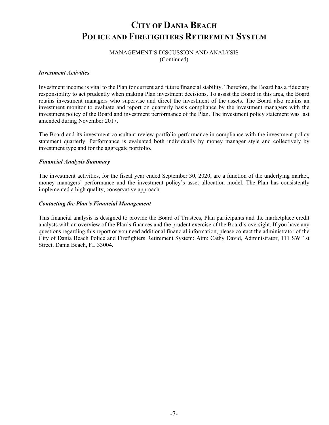## MANAGEMENT'S DISCUSSION AND ANALYSIS (Continued)

#### *Investment Activities*

Investment income is vital to the Plan for current and future financial stability. Therefore, the Board has a fiduciary responsibility to act prudently when making Plan investment decisions. To assist the Board in this area, the Board retains investment managers who supervise and direct the investment of the assets. The Board also retains an investment monitor to evaluate and report on quarterly basis compliance by the investment managers with the investment policy of the Board and investment performance of the Plan. The investment policy statement was last amended during November 2017.

The Board and its investment consultant review portfolio performance in compliance with the investment policy statement quarterly. Performance is evaluated both individually by money manager style and collectively by investment type and for the aggregate portfolio.

#### *Financial Analysis Summary*

The investment activities, for the fiscal year ended September 30, 2020, are a function of the underlying market, money managers' performance and the investment policy's asset allocation model. The Plan has consistently implemented a high quality, conservative approach.

### *Contacting the Plan's Financial Management*

This financial analysis is designed to provide the Board of Trustees, Plan participants and the marketplace credit analysts with an overview of the Plan's finances and the prudent exercise of the Board's oversight. If you have any questions regarding this report or you need additional financial information, please contact the administrator of the City of Dania Beach Police and Firefighters Retirement System: Attn: Cathy David, Administrator, 111 SW 1st Street, Dania Beach, FL 33004.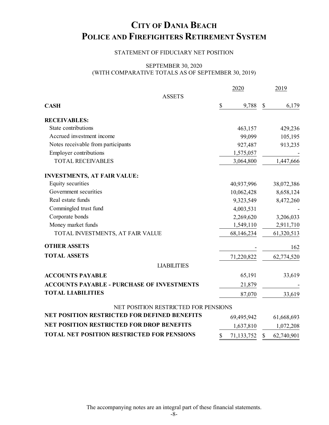## STATEMENT OF FIDUCIARY NET POSITION

## SEPTEMBER 30, 2020 (WITH COMPARATIVE TOTALS AS OF SEPTEMBER 30, 2019)

|                                                     | 2020             |                           | 2019       |
|-----------------------------------------------------|------------------|---------------------------|------------|
| <b>ASSETS</b>                                       |                  |                           |            |
| <b>CASH</b>                                         | \$<br>9,788      | $\boldsymbol{\mathsf{S}}$ | 6,179      |
| <b>RECEIVABLES:</b>                                 |                  |                           |            |
| State contributions                                 | 463,157          |                           | 429,236    |
| Accrued investment income                           | 99,099           |                           | 105,195    |
| Notes receivable from participants                  | 927,487          |                           | 913,235    |
| <b>Employer contributions</b>                       | 1,575,057        |                           |            |
| <b>TOTAL RECEIVABLES</b>                            | 3,064,800        |                           | 1,447,666  |
| <b>INVESTMENTS, AT FAIR VALUE:</b>                  |                  |                           |            |
| Equity securities                                   | 40,937,996       |                           | 38,072,386 |
| Government securities                               | 10,062,428       |                           | 8,658,124  |
| Real estate funds                                   | 9,323,549        |                           | 8,472,260  |
| Commingled trust fund                               | 4,003,531        |                           |            |
| Corporate bonds                                     | 2,269,620        |                           | 3,206,033  |
| Money market funds                                  | 1,549,110        |                           | 2,911,710  |
| TOTAL INVESTMENTS, AT FAIR VALUE                    | 68,146,234       |                           | 61,320,513 |
| <b>OTHER ASSETS</b>                                 |                  |                           | 162        |
| <b>TOTAL ASSETS</b>                                 | 71,220,822       |                           | 62,774,520 |
| <b>LIABILITIES</b>                                  |                  |                           |            |
| <b>ACCOUNTS PAYABLE</b>                             | 65,191           |                           | 33,619     |
| <b>ACCOUNTS PAYABLE - PURCHASE OF INVESTMENTS</b>   | 21,879           |                           |            |
| <b>TOTAL LIABILITIES</b>                            | 87,070           |                           | 33,619     |
| NET POSITION RESTRICTED FOR PENSIONS                |                  |                           |            |
| <b>NET POSITION RESTRICTED FOR DEFINED BENEFITS</b> | 69,495,942       |                           | 61,668,693 |
| <b>NET POSITION RESTRICTED FOR DROP BENEFITS</b>    | 1,637,810        |                           | 1,072,208  |
| TOTAL NET POSITION RESTRICTED FOR PENSIONS          | \$<br>71,133,752 | $\mathcal{S}$             | 62,740,901 |

The accompanying notes are an integral part of these financial statements.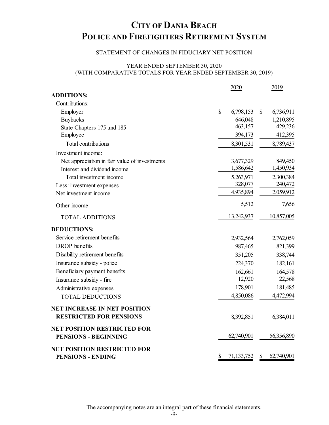## STATEMENT OF CHANGES IN FIDUCIARY NET POSITION

## YEAR ENDED SEPTEMBER 30, 2020 (WITH COMPARATIVE TOTALS FOR YEAR ENDED SEPTEMBER 30, 2019)

|                                                                   | 2020             | 2019             |
|-------------------------------------------------------------------|------------------|------------------|
| <b>ADDITIONS:</b>                                                 |                  |                  |
| Contributions:                                                    |                  |                  |
| Employer                                                          | \$<br>6,798,153  | \$<br>6,736,911  |
| <b>Buybacks</b>                                                   | 646,048          | 1,210,895        |
| State Chapters 175 and 185                                        | 463,157          | 429,236          |
| Employee                                                          | 394,173          | 412,395          |
| Total contributions                                               | 8,301,531        | 8,789,437        |
| Investment income:                                                |                  |                  |
| Net appreciation in fair value of investments                     | 3,677,329        | 849,450          |
| Interest and dividend income                                      | 1,586,642        | 1,450,934        |
| Total investment income                                           | 5,263,971        | 2,300,384        |
| Less: investment expenses                                         | 328,077          | 240,472          |
| Net investment income                                             | 4,935,894        | 2,059,912        |
| Other income                                                      | 5,512            | 7,656            |
| <b>TOTAL ADDITIONS</b>                                            | 13,242,937       | 10,857,005       |
| <b>DEDUCTIONS:</b>                                                |                  |                  |
| Service retirement benefits                                       | 2,932,564        | 2,762,059        |
| <b>DROP</b> benefits                                              | 987,465          | 821,399          |
| Disability retirement benefits                                    | 351,205          | 338,744          |
| Insurance subsidy - police                                        | 224,370          | 182,161          |
| Beneficiary payment benefits                                      | 162,661          | 164,578          |
| Insurance subsidy - fire                                          | 12,920           | 22,568           |
| Administrative expenses                                           | 178,901          | 181,485          |
| <b>TOTAL DEDUCTIONS</b>                                           | 4,850,086        | 4,472,994        |
| <b>NET INCREASE IN NET POSITION</b>                               |                  |                  |
| <b>RESTRICTED FOR PENSIONS</b>                                    | 8,392,851        | 6,384,011        |
| <b>NET POSITION RESTRICTED FOR</b><br><b>PENSIONS - BEGINNING</b> | 62,740,901       | 56,356,890       |
|                                                                   |                  |                  |
| <b>NET POSITION RESTRICTED FOR</b><br><b>PENSIONS - ENDING</b>    | \$<br>71,133,752 | \$<br>62,740,901 |
|                                                                   |                  |                  |

The accompanying notes are an integral part of these financial statements.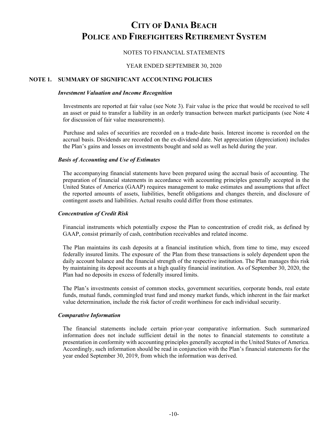## NOTES TO FINANCIAL STATEMENTS

### YEAR ENDED SEPTEMBER 30, 2020

## **NOTE 1. SUMMARY OF SIGNIFICANT ACCOUNTING POLICIES**

#### *Investment Valuation and Income Recognition*

Investments are reported at fair value (see Note 3). Fair value is the price that would be received to sell an asset or paid to transfer a liability in an orderly transaction between market participants (see Note 4 for discussion of fair value measurements).

Purchase and sales of securities are recorded on a trade-date basis. Interest income is recorded on the accrual basis. Dividends are recorded on the ex-dividend date. Net appreciation (depreciation) includes the Plan's gains and losses on investments bought and sold as well as held during the year.

### *Basis of Accounting and Use of Estimates*

The accompanying financial statements have been prepared using the accrual basis of accounting. The preparation of financial statements in accordance with accounting principles generally accepted in the United States of America (GAAP) requires management to make estimates and assumptions that affect the reported amounts of assets, liabilities, benefit obligations and changes therein, and disclosure of contingent assets and liabilities. Actual results could differ from those estimates.

### *Concentration of Credit Risk*

Financial instruments which potentially expose the Plan to concentration of credit risk, as defined by GAAP, consist primarily of cash, contribution receivables and related income.

The Plan maintains its cash deposits at a financial institution which, from time to time, may exceed federally insured limits. The exposure of the Plan from these transactions is solely dependent upon the daily account balance and the financial strength of the respective institution. The Plan manages this risk by maintaining its deposit accounts at a high quality financial institution. As of September 30, 2020, the Plan had no deposits in excess of federally insured limits.

The Plan's investments consist of common stocks, government securities, corporate bonds, real estate funds, mutual funds, commingled trust fund and money market funds, which inherent in the fair market value determination, include the risk factor of credit worthiness for each individual security.

### *Comparative Information*

The financial statements include certain prior-year comparative information. Such summarized information does not include sufficient detail in the notes to financial statements to constitute a presentation in conformity with accounting principles generally accepted in the United States of America. Accordingly, such information should be read in conjunction with the Plan's financial statements for the year ended September 30, 2019, from which the information was derived.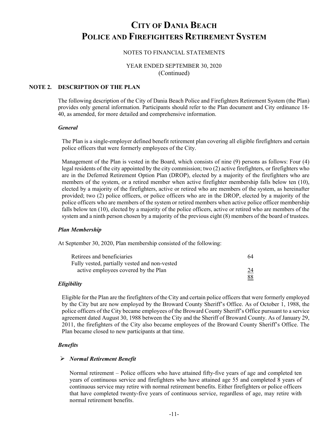## NOTES TO FINANCIAL STATEMENTS

YEAR ENDED SEPTEMBER 30, 2020 (Continued)

## **NOTE 2. DESCRIPTION OF THE PLAN**

The following description of the City of Dania Beach Police and Firefighters Retirement System (the Plan) provides only general information. Participants should refer to the Plan document and City ordinance 18- 40, as amended, for more detailed and comprehensive information.

#### *General*

The Plan is a single-employer defined benefit retirement plan covering all eligible firefighters and certain police officers that were formerly employees of the City.

Management of the Plan is vested in the Board, which consists of nine (9) persons as follows: Four (4) legal residents of the city appointed by the city commission; two (2) active firefighters, or firefighters who are in the Deferred Retirement Option Plan (DROP), elected by a majority of the firefighters who are members of the system, or a retired member when active firefighter membership falls below ten (10), elected by a majority of the firefighters, active or retired who are members of the system, as hereinafter provided; two (2) police officers, or police officers who are in the DROP, elected by a majority of the police officers who are members of the system or retired members when active police officer membership falls below ten (10), elected by a majority of the police officers, active or retired who are members of the system and a ninth person chosen by a majority of the previous eight (8) members of the board of trustees.

#### *Plan Membership*

At September 30, 2020, Plan membership consisted of the following:

| Retirees and beneficiaries                    | 64 |
|-----------------------------------------------|----|
| Fully vested, partially vested and non-vested |    |
| active employees covered by the Plan          |    |
|                                               | 88 |

#### *Eligibility*

Eligible for the Plan are the firefighters of the City and certain police officers that were formerly employed by the City but are now employed by the Broward County Sheriff's Office. As of October 1, 1988, the police officers of the City became employees of the Broward County Sheriff's Office pursuant to a service agreement dated August 30, 1988 between the City and the Sheriff of Broward County. As of January 29, 2011, the firefighters of the City also became employees of the Broward County Sheriff's Office. The Plan became closed to new participants at that time.

#### *Benefits*

#### *Normal Retirement Benefit*

Normal retirement – Police officers who have attained fifty-five years of age and completed ten years of continuous service and firefighters who have attained age 55 and completed 8 years of continuous service may retire with normal retirement benefits. Either firefighters or police officers that have completed twenty-five years of continuous service, regardless of age, may retire with normal retirement benefits.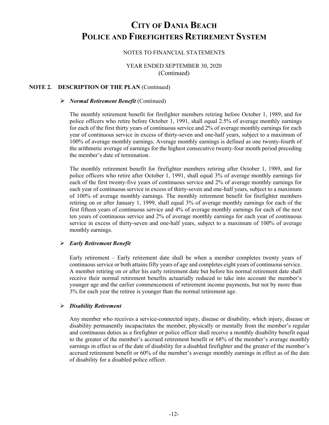## NOTES TO FINANCIAL STATEMENTS

## YEAR ENDED SEPTEMBER 30, 2020 (Continued)

## **NOTE 2. DESCRIPTION OF THE PLAN** (Continued)

#### *Normal Retirement Benefit* (Continued)

The monthly retirement benefit for firefighter members retiring before October 1, 1989, and for police officers who retire before October 1, 1991, shall equal 2.5% of average monthly earnings for each of the first thirty years of continuous service and 2% of average monthly earnings for each year of continuous service in excess of thirty-seven and one-half years, subject to a maximum of 100% of average monthly earnings. Average monthly earnings is defined as one twenty-fourth of the arithmetic average of earnings for the highest consecutive twenty-four month period preceding the member's date of termination.

The monthly retirement benefit for firefighter members retiring after October 1, 1989, and for police officers who retire after October 1, 1991, shall equal 3% of average monthly earnings for each of the first twenty-five years of continuous service and 2% of average monthly earnings for each year of continuous service in excess of thirty-seven and one-half years, subject to a maximum of 100% of average monthly earnings. The monthly retirement benefit for firefighter members retiring on or after January 1, 1999, shall equal 3% of average monthly earnings for each of the first fifteen years of continuous service and 4% of average monthly earnings for each of the next ten years of continuous service and 2% of average monthly earnings for each year of continuous service in excess of thirty-seven and one-half years, subject to a maximum of 100% of average monthly earnings.

### *Early Retirement Benefit*

Early retirement – Early retirement date shall be when a member completes twenty years of continuous service or both attains fifty years of age and completes eight years of continuous service. A member retiring on or after his early retirement date but before his normal retirement date shall receive their normal retirement benefits actuarially reduced to take into account the member's younger age and the earlier commencement of retirement income payments, but not by more than 3% for each year the retiree is younger than the normal retirement age.

### *Disability Retirement*

Any member who receives a service-connected injury, disease or disability, which injury, disease or disability permanently incapacitates the member, physically or mentally from the member's regular and continuous duties as a firefighter or police officer shall receive a monthly disability benefit equal to the greater of the member's accrued retirement benefit or 68% of the member's average monthly earnings in effect as of the date of disability for a disabled firefighter and the greater of the member's accrued retirement benefit or 60% of the member's average monthly earnings in effect as of the date of disability for a disabled police officer.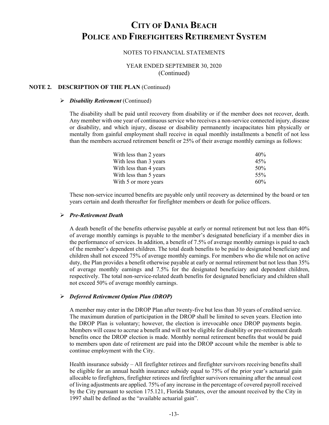### NOTES TO FINANCIAL STATEMENTS

## YEAR ENDED SEPTEMBER 30, 2020 (Continued)

## **NOTE 2. DESCRIPTION OF THE PLAN** (Continued)

#### *Disability Retirement* (Continued)

The disability shall be paid until recovery from disability or if the member does not recover, death. Any member with one year of continuous service who receives a non-service connected injury, disease or disability, and which injury, disease or disability permanently incapacitates him physically or mentally from gainful employment shall receive in equal monthly installments a benefit of not less than the members accrued retirement benefit or 25% of their average monthly earnings as follows:

| With less than 2 years | 40%    |
|------------------------|--------|
| With less than 3 years | 45%    |
| With less than 4 years | 50%    |
| With less than 5 years | 55%    |
| With 5 or more years   | $60\%$ |

These non-service incurred benefits are payable only until recovery as determined by the board or ten years certain and death thereafter for firefighter members or death for police officers.

#### *Pre-Retirement Death*

A death benefit of the benefits otherwise payable at early or normal retirement but not less than 40% of average monthly earnings is payable to the member's designated beneficiary if a member dies in the performance of services. In addition, a benefit of 7.5% of average monthly earnings is paid to each of the member's dependent children. The total death benefits to be paid to designated beneficiary and children shall not exceed 75% of average monthly earnings. For members who die while not on active duty, the Plan provides a benefit otherwise payable at early or normal retirement but not less than 35% of average monthly earnings and 7.5% for the designated beneficiary and dependent children, respectively. The total non-service-related death benefits for designated beneficiary and children shall not exceed 50% of average monthly earnings.

#### *Deferred Retirement Option Plan (DROP)*

A member may enter in the DROP Plan after twenty-five but less than 30 years of credited service. The maximum duration of participation in the DROP shall be limited to seven years. Election into the DROP Plan is voluntary; however, the election is irrevocable once DROP payments begin. Members will cease to accrue a benefit and will not be eligible for disability or pre-retirement death benefits once the DROP election is made. Monthly normal retirement benefits that would be paid to members upon date of retirement are paid into the DROP account while the member is able to continue employment with the City.

Health insurance subsidy – All firefighter retirees and firefighter survivors receiving benefits shall be eligible for an annual health insurance subsidy equal to 75% of the prior year's actuarial gain allocable to firefighters, firefighter retirees and firefighter survivors remaining after the annual cost of living adjustments are applied. 75% of any increase in the percentage of covered payroll received by the City pursuant to section 175.121, Florida Statutes, over the amount received by the City in 1997 shall be defined as the "available actuarial gain".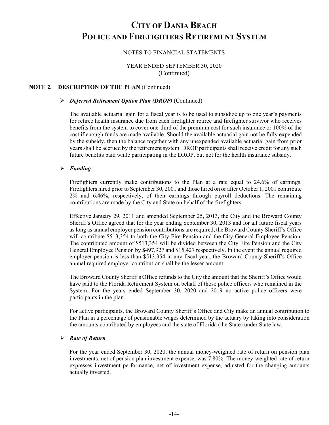## NOTES TO FINANCIAL STATEMENTS

YEAR ENDED SEPTEMBER 30, 2020 (Continued)

## **NOTE 2. DESCRIPTION OF THE PLAN** (Continued)

#### *Deferred Retirement Option Plan (DROP)* (Continued)

The available actuarial gain for a fiscal year is to be used to subsidize up to one year's payments for retiree health insurance due from each firefighter retiree and firefighter survivor who receives benefits from the system to cover one-third of the premium cost for such insurance or 100% of the cost if enough funds are made available. Should the available actuarial gain not be fully expended by the subsidy, then the balance together with any unexpended available actuarial gain from prior years shall be accrued by the retirement system. DROP participants shall receive credit for any such future benefits paid while participating in the DROP, but not for the health insurance subsidy.

#### *Funding*

Firefighters currently make contributions to the Plan at a rate equal to 24.6% of earnings. Firefighters hired prior to September 30, 2001 and those hired on or after October 1, 2001 contribute 2% and 6.46%, respectively, of their earnings through payroll deductions. The remaining contributions are made by the City and State on behalf of the firefighters.

Effective January 29, 2011 and amended September 25, 2013, the City and the Broward County Sheriff's Office agreed that for the year ending September 30, 2013 and for all future fiscal years as long as annual employer pension contributions are required, the Broward County Sheriff's Office will contribute \$513,354 to both the City Fire Pension and the City General Employee Pension. The contributed amount of \$513,354 will be divided between the City Fire Pension and the City General Employee Pension by \$497,927 and \$15,427 respectively. In the event the annual required employer pension is less than \$513,354 in any fiscal year; the Broward County Sheriff's Office annual required employer contribution shall be the lesser amount.

The Broward County Sheriff's Office refunds to the City the amount that the Sheriff's Office would have paid to the Florida Retirement System on behalf of those police officers who remained in the System. For the years ended September 30, 2020 and 2019 no active police officers were participants in the plan.

For active participants, the Broward County Sheriff's Office and City make an annual contribution to the Plan in a percentage of pensionable wages determined by the actuary by taking into consideration the amounts contributed by employees and the state of Florida (the State) under State law.

#### *Rate of Return*

For the year ended September 30, 2020, the annual money-weighted rate of return on pension plan investments, net of pension plan investment expense, was 7.80%. The money-weighted rate of return expresses investment performance, net of investment expense, adjusted for the changing amounts actually invested.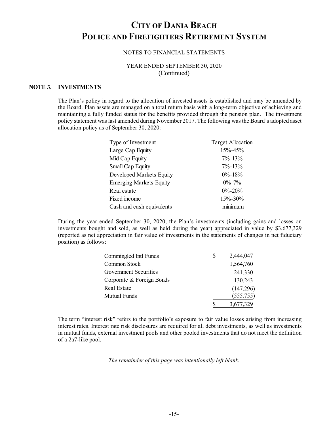### NOTES TO FINANCIAL STATEMENTS

## YEAR ENDED SEPTEMBER 30, 2020 (Continued)

## **NOTE 3. INVESTMENTS**

The Plan's policy in regard to the allocation of invested assets is established and may be amended by the Board. Plan assets are managed on a total return basis with a long-term objective of achieving and maintaining a fully funded status for the benefits provided through the pension plan. The investment policy statement was last amended during November 2017. The following was the Board's adopted asset allocation policy as of September 30, 2020:

| Type of Investment             | <b>Target Allocation</b> |
|--------------------------------|--------------------------|
| Large Cap Equity               | $15\% - 45\%$            |
| Mid Cap Equity                 | $7\% - 13\%$             |
| Small Cap Equity               | $7\% - 13\%$             |
| Developed Markets Equity       | $0\% - 18\%$             |
| <b>Emerging Markets Equity</b> | $0\% - 7\%$              |
| Real estate                    | $0\% - 20\%$             |
| Fixed income                   | 15%-30%                  |
| Cash and cash equivalents      | $m$ $m$ $m$ $m$          |

During the year ended September 30, 2020, the Plan's investments (including gains and losses on investments bought and sold, as well as held during the year) appreciated in value by \$3,677,329 (reported as net appreciation in fair value of investments in the statements of changes in net fiduciary position) as follows:

| Commingled Intl Funds     | S | 2,444,047 |
|---------------------------|---|-----------|
| Common Stock              |   | 1,564,760 |
| Government Securities     |   | 241,330   |
| Corporate & Foreign Bonds |   | 130,243   |
| Real Estate               |   | (147,296) |
| Mutual Funds              |   | (555,755) |
|                           |   | 3,677,329 |

The term "interest risk" refers to the portfolio's exposure to fair value losses arising from increasing interest rates. Interest rate risk disclosures are required for all debt investments, as well as investments in mutual funds, external investment pools and other pooled investments that do not meet the definition of a 2a7-like pool.

#### *The remainder of this page was intentionally left blank.*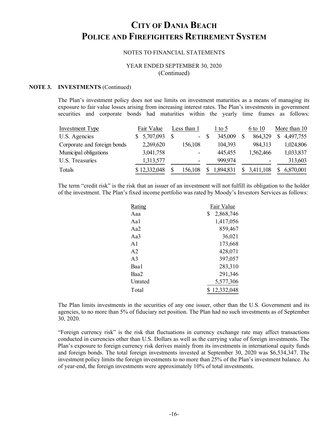#### NOTES TO FINANCIAL STATEMENTS

## YEAR ENDED SEPTEMBER 30, 2020 (Continued)

#### **NOTE 3. INVESTMENTS** (Continued)

The Plan's investment policy does not use limits on investment maturities as a means of managing its exposure to fair value losses arising from increasing interest rates. The Plan's investments in government securities and corporate bonds had maturities within the yearly time frames as follows:

| Investment Type             | Fair Value   | Less than 1  | $1$ to 5      | 6 to 10                  | More than 10   |
|-----------------------------|--------------|--------------|---------------|--------------------------|----------------|
| U.S. Agencies               | 5,707,093    | S<br>$\sim$  | 345,009<br>-S | 864,329                  | 4,497,755<br>S |
| Corporate and foreign bonds | 2,269,620    | 156,108      | 104,393       | 984,313                  | 1,024,806      |
| Municipal obligations       | 3,041,758    |              | 445,455       | 1,562,466                | 1,033,837      |
| U.S. Treasuries             | 1,313,577    |              | 999,974       | $\overline{\phantom{0}}$ | 313,603        |
| Totals                      | \$12,332,048 | 156,108<br>S | 1,894,831     | 3,411,108                | 6,870,001      |

The term "credit risk" is the risk that an issuer of an investment will not fulfill its obligation to the holder of the investment. The Plan's fixed income portfolio was rated by Moody's Investors Services as follows:

| Rating         | Fair Value      |
|----------------|-----------------|
| Aaa            | 2,868,746<br>\$ |
| Aa1            | 1,417,056       |
| Aa2            | 859,467         |
| Aa3            | 36,021          |
| $\mathsf{A}1$  | 173,668         |
| A <sub>2</sub> | 428,071         |
| A <sub>3</sub> | 397,057         |
| Baa1           | 283,310         |
| Baa2           | 291,346         |
| Unrated        | 5,577,306       |
| Total          | \$12,332,048    |

The Plan limits investments in the securities of any one issuer, other than the U.S. Government and its agencies, to no more than 5% of fiduciary net position. The Plan had no such investments as of September 30, 2020.

"Foreign currency risk" is the risk that fluctuations in currency exchange rate may affect transactions conducted in currencies other than U.S. Dollars as well as the carrying value of foreign investments. The Plan's exposure to foreign currency risk derives mainly from its investments in international equity funds and foreign bonds. The total foreign investments invested at September 30, 2020 was \$6,534,347. The investment policy limits the foreign investments to no more than 25% of the Plan's investment balance. As of year-end, the foreign investments were approximately 10% of total investments.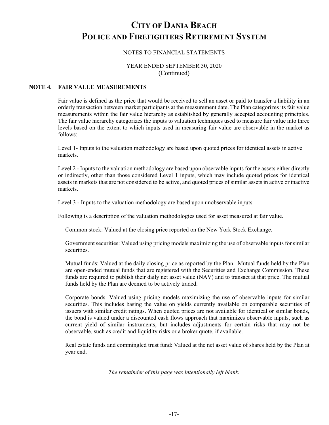## NOTES TO FINANCIAL STATEMENTS

## YEAR ENDED SEPTEMBER 30, 2020 (Continued)

## **NOTE 4. FAIR VALUE MEASUREMENTS**

Fair value is defined as the price that would be received to sell an asset or paid to transfer a liability in an orderly transaction between market participants at the measurement date. The Plan categorizes its fair value measurements within the fair value hierarchy as established by generally accepted accounting principles. The fair value hierarchy categorizes the inputs to valuation techniques used to measure fair value into three levels based on the extent to which inputs used in measuring fair value are observable in the market as follows:

Level 1- Inputs to the valuation methodology are based upon quoted prices for identical assets in active markets.

Level 2 - Inputs to the valuation methodology are based upon observable inputs for the assets either directly or indirectly, other than those considered Level 1 inputs, which may include quoted prices for identical assets in markets that are not considered to be active, and quoted prices of similar assets in active or inactive markets.

Level 3 - Inputs to the valuation methodology are based upon unobservable inputs.

Following is a description of the valuation methodologies used for asset measured at fair value.

Common stock: Valued at the closing price reported on the New York Stock Exchange.

Government securities: Valued using pricing models maximizing the use of observable inputs for similar securities.

Mutual funds: Valued at the daily closing price as reported by the Plan. Mutual funds held by the Plan are open-ended mutual funds that are registered with the Securities and Exchange Commission. These funds are required to publish their daily net asset value (NAV) and to transact at that price. The mutual funds held by the Plan are deemed to be actively traded.

Corporate bonds: Valued using pricing models maximizing the use of observable inputs for similar securities. This includes basing the value on yields currently available on comparable securities of issuers with similar credit ratings. When quoted prices are not available for identical or similar bonds, the bond is valued under a discounted cash flows approach that maximizes observable inputs, such as current yield of similar instruments, but includes adjustments for certain risks that may not be observable, such as credit and liquidity risks or a broker quote, if available.

Real estate funds and commingled trust fund: Valued at the net asset value of shares held by the Plan at year end.

*The remainder of this page was intentionally left blank.*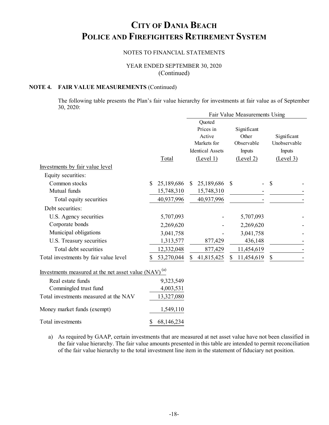## NOTES TO FINANCIAL STATEMENTS

YEAR ENDED SEPTEMBER 30, 2020 (Continued)

## **NOTE 4. FAIR VALUE MEASUREMENTS** (Continued)

The following table presents the Plan's fair value hierarchy for investments at fair value as of September 30, 2020:

|    |            |                                                                                      |            |                                                           | Fair Value Measurements Using |               |                             |
|----|------------|--------------------------------------------------------------------------------------|------------|-----------------------------------------------------------|-------------------------------|---------------|-----------------------------|
|    |            | Quoted<br>Prices in<br>Active<br>Markets for<br><b>Identical Assets</b><br>(Level 1) |            | Significant<br>Other<br>Observable<br>Inputs<br>(Level 2) |                               |               | Significant<br>Unobservable |
|    |            |                                                                                      |            |                                                           |                               |               | Inputs                      |
|    |            |                                                                                      |            |                                                           |                               | (Level 3)     |                             |
|    |            |                                                                                      |            |                                                           |                               |               |                             |
|    |            |                                                                                      |            |                                                           |                               |               |                             |
| S. | 25,189,686 | <sup>\$</sup>                                                                        | 25,189,686 | S                                                         |                               | $\mathcal{S}$ |                             |
|    | 15,748,310 |                                                                                      | 15,748,310 |                                                           |                               |               |                             |
|    | 40,937,996 |                                                                                      | 40,937,996 |                                                           |                               |               |                             |
|    |            |                                                                                      |            |                                                           |                               |               |                             |
|    | 5,707,093  |                                                                                      |            |                                                           | 5,707,093                     |               |                             |
|    | 2,269,620  |                                                                                      |            |                                                           | 2,269,620                     |               |                             |
|    | 3,041,758  |                                                                                      |            |                                                           | 3,041,758                     |               |                             |
|    | 1,313,577  |                                                                                      | 877,429    |                                                           | 436,148                       |               |                             |
|    | 12,332,048 |                                                                                      | 877,429    |                                                           | 11,454,619                    |               |                             |
|    | 53,270,044 | S                                                                                    | 41,815,425 |                                                           | 11,454,619                    | \$            |                             |
|    |            | Total                                                                                |            |                                                           |                               |               |                             |

| <u>Investments</u> measured at the net asset value $(NAV)^{(a)}$ |            |
|------------------------------------------------------------------|------------|
| Real estate funds                                                | 9,323,549  |
| Commingled trust fund                                            | 4,003,531  |
| Total investments measured at the NAV                            | 13,327,080 |
| Money market funds (exempt)                                      | 1,549,110  |
| Total investments                                                | 68,146,234 |

a) As required by GAAP, certain investments that are measured at net asset value have not been classified in the fair value hierarchy. The fair value amounts presented in this table are intended to permit reconciliation of the fair value hierarchy to the total investment line item in the statement of fiduciary net position.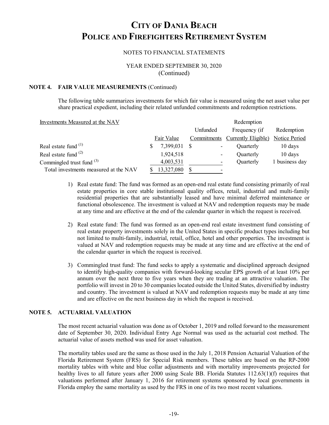## NOTES TO FINANCIAL STATEMENTS

## YEAR ENDED SEPTEMBER 30, 2020 (Continued)

## **NOTE 4. FAIR VALUE MEASUREMENTS** (Continued)

The following table summarizes investments for which fair value is measured using the net asset value per share practical expedient, including their related unfunded commitments and redemption restrictions.

Investments Measured at the NAV **Redemption** Redemption

|                                       | Unfunded |              | Frequency (if | Redemption                      |                   |
|---------------------------------------|----------|--------------|---------------|---------------------------------|-------------------|
|                                       |          | Fair Value   |               | Commitments Currently Eligible) | Notice Period     |
| Real estate fund <sup>(1)</sup>       |          | 7,399,031 \$ |               | Quarterly                       | $10 \text{ days}$ |
| Real estate fund $(2)$                |          | 1,924,518    |               | Quarterly                       | $10 \text{ days}$ |
| Commingled trust fund $^{(3)}$        |          | 4,003,531    |               | Quarterly                       | 1 business day    |
| Total investments measured at the NAV |          | 13,327,080   |               |                                 |                   |
|                                       |          |              |               |                                 |                   |

- 1) Real estate fund: The fund was formed as an open-end real estate fund consisting primarily of real estate properties in core stable institutional quality offices, retail, industrial and multi-family residential properties that are substantially leased and have minimal deferred maintenance or functional obsolescence. The investment is valued at NAV and redemption requests may be made at any time and are effective at the end of the calendar quarter in which the request is received.
- 2) Real estate fund: The fund was formed as an open-end real estate investment fund consisting of real estate property investments solely in the United States in specific product types including but not limited to multi-family, industrial, retail, office, hotel and other properties. The investment is valued at NAV and redemption requests may be made at any time and are effective at the end of the calendar quarter in which the request is received.
- 3) Commingled trust fund: The fund seeks to apply a systematic and disciplined approach designed to identify high-quality companies with forward-looking secular EPS growth of at least 10% per annum over the next three to five years when they are trading at an attractive valuation. The portfolio will invest in 20 to 30 companies located outside the United States, diversified by industry and country. The investment is valued at NAV and redemption requests may be made at any time and are effective on the next business day in which the request is received.

### **NOTE 5. ACTUARIAL VALUATION**

The most recent actuarial valuation was done as of October 1, 2019 and rolled forward to the measurement date of September 30, 2020. Individual Entry Age Normal was used as the actuarial cost method. The actuarial value of assets method was used for asset valuation.

The mortality tables used are the same as those used in the July 1, 2018 Pension Actuarial Valuation of the Florida Retirement System (FRS) for Special Risk members. These tables are based on the RP-2000 mortality tables with white and blue collar adjustments and with mortality improvements projected for healthy lives to all future years after 2000 using Scale BB. Florida Statutes 112.63(1)(f) requires that valuations performed after January 1, 2016 for retirement systems sponsored by local governments in Florida employ the same mortality as used by the FRS in one of its two most recent valuations.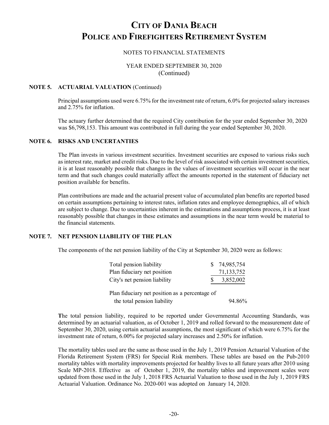## NOTES TO FINANCIAL STATEMENTS

## YEAR ENDED SEPTEMBER 30, 2020 (Continued)

### **NOTE 5. ACTUARIAL VALUATION** (Continued)

Principal assumptions used were 6.75% for the investment rate of return, 6.0% for projected salary increases and 2.75% for inflation.

The actuary further determined that the required City contribution for the year ended September 30, 2020 was \$6,798,153. This amount was contributed in full during the year ended September 30, 2020.

## **NOTE 6. RISKS AND UNCERTANTIES**

The Plan invests in various investment securities. Investment securities are exposed to various risks such as interest rate, market and credit risks. Due to the level of risk associated with certain investment securities, it is at least reasonably possible that changes in the values of investment securities will occur in the near term and that such changes could materially affect the amounts reported in the statement of fiduciary net position available for benefits.

Plan contributions are made and the actuarial present value of accumulated plan benefits are reported based on certain assumptions pertaining to interest rates, inflation rates and employee demographics, all of which are subject to change. Due to uncertainties inherent in the estimations and assumptions process, it is at least reasonably possible that changes in these estimates and assumptions in the near term would be material to the financial statements.

## **NOTE 7. NET PENSION LIABILITY OF THE PLAN**

The components of the net pension liability of the City at September 30, 2020 were as follows:

| Total pension liability      | \$74,985,754 |
|------------------------------|--------------|
| Plan fiduciary net position  | 71,133,752   |
| City's net pension liability | 3,852,002    |
|                              |              |

Plan fiduciary net position as a percentage of the total pension liability 94.86%

**T**he total pension liability, required to be reported under Governmental Accounting Standards, was determined by an actuarial valuation, as of October 1, 2019 and rolled forward to the measurement date of September 30, 2020, using certain actuarial assumptions, the most significant of which were 6.75% for the investment rate of return, 6.00% for projected salary increases and 2.50% for inflation.

The mortality tables used are the same as those used in the July 1, 2019 Pension Actuarial Valuation of the Florida Retirement System (FRS) for Special Risk members. These tables are based on the Pub-2010 mortality tables with mortality improvements projected for healthy lives to all future years after 2010 using Scale MP-2018. Effective as of October 1, 2019, the mortality tables and improvement scales were updated from those used in the July 1, 2018 FRS Actuarial Valuation to those used in the July 1, 2019 FRS Actuarial Valuation. Ordinance No. 2020-001 was adopted on January 14, 2020.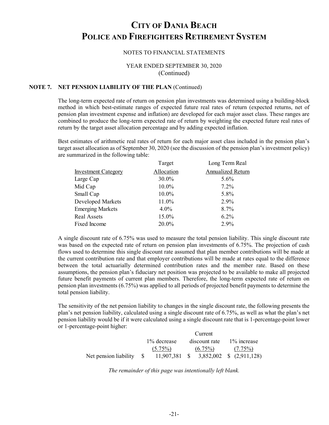#### NOTES TO FINANCIAL STATEMENTS

## YEAR ENDED SEPTEMBER 30, 2020 (Continued)

## **NOTE 7. NET PENSION LIABILITY OF THE PLAN** (Continued)

The long-term expected rate of return on pension plan investments was determined using a building-block method in which best-estimate ranges of expected future real rates of return (expected returns, net of pension plan investment expense and inflation) are developed for each major asset class. These ranges are combined to produce the long-term expected rate of return by weighting the expected future real rates of return by the target asset allocation percentage and by adding expected inflation.

Best estimates of arithmetic real rates of return for each major asset class included in the pension plan's target asset allocation as of September 30, 2020 (see the discussion of the pension plan's investment policy) are summarized in the following table:

| Target     | Long Term Real    |
|------------|-------------------|
| Allocation | Annualized Return |
| 30.0%      | 5.6%              |
| 10.0%      | $7.2\%$           |
| 10.0%      | 5.8%              |
| 11.0%      | 2.9%              |
| $4.0\%$    | 8.7%              |
| 15.0%      | $6.2\%$           |
| 20.0%      | 2.9%              |
|            |                   |

A single discount rate of 6.75% was used to measure the total pension liability. This single discount rate was based on the expected rate of return on pension plan investments of 6.75%. The projection of cash flows used to determine this single discount rate assumed that plan member contributions will be made at the current contribution rate and that employer contributions will be made at rates equal to the difference between the total actuarially determined contribution rates and the member rate. Based on these assumptions, the pension plan's fiduciary net position was projected to be available to make all projected future benefit payments of current plan members. Therefore, the long-term expected rate of return on pension plan investments (6.75%) was applied to all periods of projected benefit payments to determine the total pension liability.

The sensitivity of the net pension liability to changes in the single discount rate, the following presents the plan's net pension liability, calculated using a single discount rate of 6.75%, as well as what the plan's net pension liability would be if it were calculated using a single discount rate that is 1-percentage-point lower or 1-percentage-point higher:

|                             |                                              | Current       |                |
|-----------------------------|----------------------------------------------|---------------|----------------|
|                             | 1% decrease                                  | discount rate | $1\%$ increase |
|                             | $(5.75\%)$                                   | $(6.75\%)$    | $(7.75\%)$     |
| Net pension liability $\$\$ | $11,907,381$ \$ $3,852,002$ \$ $(2,911,128)$ |               |                |

*The remainder of this page was intentionally left blank.*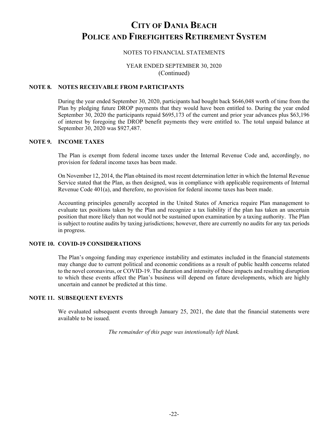## NOTES TO FINANCIAL STATEMENTS

## YEAR ENDED SEPTEMBER 30, 2020 (Continued)

## **NOTE 8. NOTES RECEIVABLE FROM PARTICIPANTS**

During the year ended September 30, 2020, participants had bought back \$646,048 worth of time from the Plan by pledging future DROP payments that they would have been entitled to. During the year ended September 30, 2020 the participants repaid \$695,173 of the current and prior year advances plus \$63,196 of interest by foregoing the DROP benefit payments they were entitled to. The total unpaid balance at September 30, 2020 was \$927,487.

## **NOTE 9. INCOME TAXES**

The Plan is exempt from federal income taxes under the Internal Revenue Code and, accordingly, no provision for federal income taxes has been made.

On November 12, 2014, the Plan obtained its most recent determination letter in which the Internal Revenue Service stated that the Plan, as then designed, was in compliance with applicable requirements of Internal Revenue Code 401(a), and therefore, no provision for federal income taxes has been made.

Accounting principles generally accepted in the United States of America require Plan management to evaluate tax positions taken by the Plan and recognize a tax liability if the plan has taken an uncertain position that more likely than not would not be sustained upon examination by a taxing authority. The Plan is subject to routine audits by taxing jurisdictions; however, there are currently no audits for any tax periods in progress.

### **NOTE 10. COVID-19 CONSIDERATIONS**

The Plan's ongoing funding may experience instability and estimates included in the financial statements may change due to current political and economic conditions as a result of public health concerns related to the novel coronavirus, or COVID-19. The duration and intensity of these impacts and resulting disruption to which these events affect the Plan's business will depend on future developments, which are highly uncertain and cannot be predicted at this time.

### **NOTE 11. SUBSEQUENT EVENTS**

We evaluated subsequent events through January 25, 2021, the date that the financial statements were available to be issued.

*The remainder of this page was intentionally left blank.*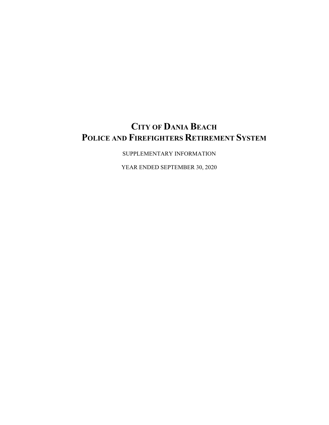SUPPLEMENTARY INFORMATION

YEAR ENDED SEPTEMBER 30, 2020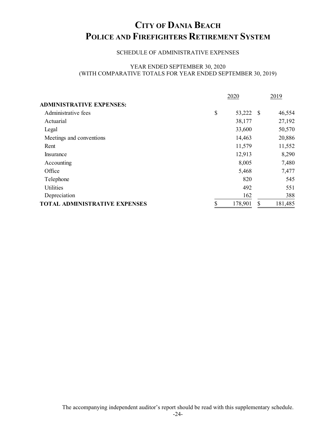## SCHEDULE OF ADMINISTRATIVE EXPENSES

### YEAR ENDED SEPTEMBER 30, 2020 (WITH COMPARATIVE TOTALS FOR YEAR ENDED SEPTEMBER 30, 2019)

|                                      | 2020            | 2019 |         |  |
|--------------------------------------|-----------------|------|---------|--|
| <b>ADMINISTRATIVE EXPENSES:</b>      |                 |      |         |  |
| Administrative fees                  | \$<br>53,222 \$ |      | 46,554  |  |
| Actuarial                            | 38,177          |      | 27,192  |  |
| Legal                                | 33,600          |      | 50,570  |  |
| Meetings and conventions             | 14,463          |      | 20,886  |  |
| Rent                                 | 11,579          |      | 11,552  |  |
| Insurance                            | 12,913          |      | 8,290   |  |
| Accounting                           | 8,005           |      | 7,480   |  |
| Office                               | 5,468           |      | 7,477   |  |
| Telephone                            | 820             |      | 545     |  |
| Utilities                            | 492             |      | 551     |  |
| Depreciation                         | 162             |      | 388     |  |
| <b>TOTAL ADMINISTRATIVE EXPENSES</b> | 178,901         | \$   | 181,485 |  |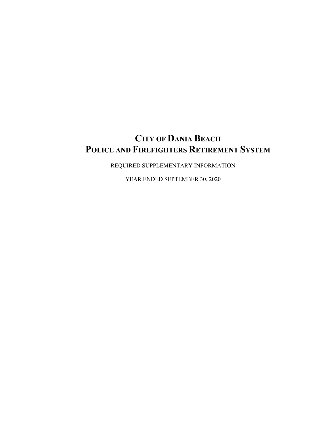REQUIRED SUPPLEMENTARY INFORMATION

YEAR ENDED SEPTEMBER 30, 2020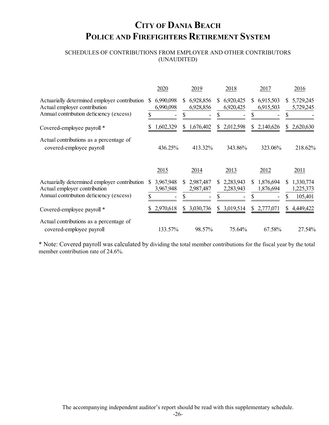## SCHEDULES OF CONTRIBUTIONS FROM EMPLOYER AND OTHER CONTRIBUTORS (UNAUDITED)

|                                                                                                                         | 2020                              | 2019                         | 2018                        | 2017                          | 2016                                    |
|-------------------------------------------------------------------------------------------------------------------------|-----------------------------------|------------------------------|-----------------------------|-------------------------------|-----------------------------------------|
| Actuarially determined employer contribution<br>Actual employer contribution<br>Annual contribution deficiency (excess) | 6,990,098<br>S<br>6,990,098<br>\$ | 6,928,856<br>S.<br>6,928,856 | 6,920,425<br>S<br>6,920,425 | 6,915,503<br>\$<br>6,915,503  | 5,729,245<br>S.<br>5,729,245            |
| Covered-employee payroll *                                                                                              | 1,602,329                         | \$1,676,402                  | \$2,012,598                 | \$2,140,626                   | \$2,620,630                             |
| Actual contributions as a percentage of<br>covered-employee payroll                                                     | 436.25%                           | 413.32%                      | 343.86%                     | 323.06%                       | 218.62%                                 |
|                                                                                                                         | 2015                              | 2014                         | 2013                        | 2012                          | 2011                                    |
| Actuarially determined employer contribution<br>Actual employer contribution<br>Annual contribution deficiency (excess) | 3,967,948<br>3,967,948            | 2,987,487<br>S.<br>2,987,487 | 2,283,943<br>S<br>2,283,943 | 1,876,694<br>\$.<br>1,876,694 | 1,330,774<br>S.<br>1,225,373<br>105,401 |
| Covered-employee payroll *                                                                                              | 2,970,618                         | 3,030,736<br>S               | 3,019,514<br>\$             | \$<br>2,777,071               | 4,449,422<br>S.                         |
| Actual contributions as a percentage of<br>covered-employee payroll                                                     | 133.57%                           | 98.57%                       | 75.64%                      | 67.58%                        | 27.54%                                  |

\* Note: Covered payroll was calculated by dividing the total member contributions for the fiscal year by the total member contribution rate of 24.6%.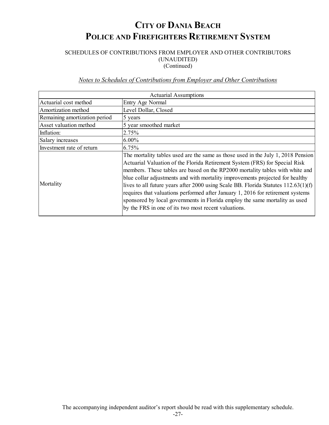## SCHEDULES OF CONTRIBUTIONS FROM EMPLOYER AND OTHER CONTRIBUTORS (UNAUDITED)

(Continued)

## *Notes to Schedules of Contributions from Employer and Other Contributions*

|                               | <b>Actuarial Assumptions</b>                                                                                                                                                                                                                                                                                                                                                                                                                                                                                                                                                                                                                        |
|-------------------------------|-----------------------------------------------------------------------------------------------------------------------------------------------------------------------------------------------------------------------------------------------------------------------------------------------------------------------------------------------------------------------------------------------------------------------------------------------------------------------------------------------------------------------------------------------------------------------------------------------------------------------------------------------------|
| Actuarial cost method         | Entry Age Normal                                                                                                                                                                                                                                                                                                                                                                                                                                                                                                                                                                                                                                    |
| Amortization method           | Level Dollar, Closed                                                                                                                                                                                                                                                                                                                                                                                                                                                                                                                                                                                                                                |
| Remaining amortization period | 5 years                                                                                                                                                                                                                                                                                                                                                                                                                                                                                                                                                                                                                                             |
| Asset valuation method        | 5 year smoothed market                                                                                                                                                                                                                                                                                                                                                                                                                                                                                                                                                                                                                              |
| Inflation:                    | 2.75%                                                                                                                                                                                                                                                                                                                                                                                                                                                                                                                                                                                                                                               |
| Salary increases              | $6.00\%$                                                                                                                                                                                                                                                                                                                                                                                                                                                                                                                                                                                                                                            |
| Investment rate of return     | 6.75%                                                                                                                                                                                                                                                                                                                                                                                                                                                                                                                                                                                                                                               |
| Mortality                     | The mortality tables used are the same as those used in the July 1, 2018 Pension<br>Actuarial Valuation of the Florida Retirement System (FRS) for Special Risk<br>members. These tables are based on the RP2000 mortality tables with white and<br>blue collar adjustments and with mortality improvements projected for healthy<br>lives to all future years after 2000 using Scale BB. Florida Statutes $112.63(1)(f)$<br>requires that valuations performed after January 1, 2016 for retirement systems<br>sponsored by local governments in Florida employ the same mortality as used<br>by the FRS in one of its two most recent valuations. |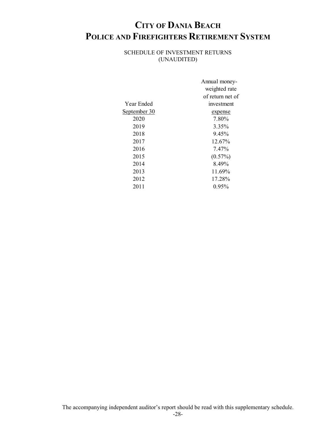## SCHEDULE OF INVESTMENT RETURNS (UNAUDITED)

|              | Annual money-    |
|--------------|------------------|
|              | weighted rate    |
|              | of return net of |
| Year Ended   | investment       |
| September 30 | <u>expense</u>   |
| 2020         | 7.80%            |
| 2019         | 3.35%            |
| 2018         | 9.45%            |
| 2017         | 12.67%           |
| 2016         | 7.47%            |
| 2015         | $(0.57\%)$       |
| 2014         | 8.49%            |
| 2013         | 11.69%           |
| 2012         | 17.28%           |
| 2011         | $0.95\%$         |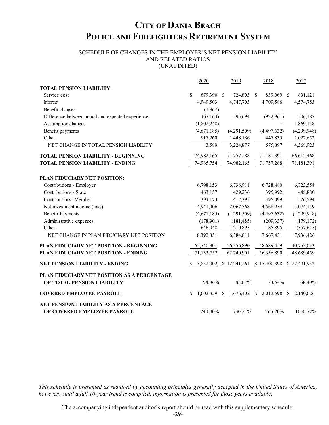## SCHEDULE OF CHANGES IN THE EMPLOYER'S NET PENSION LIABILITY AND RELATED RATIOS (UNAUDITED)

|                                                                      |     | 2020           | 2019         | 2018         |               | 2017         |
|----------------------------------------------------------------------|-----|----------------|--------------|--------------|---------------|--------------|
| <b>TOTAL PENSION LIABILITY:</b>                                      |     |                |              |              |               |              |
| Service cost                                                         | \$  | 679,390 \$     | 724,803 \$   | 839,069      | <sup>\$</sup> | 891,121      |
| Interest                                                             |     | 4,949,503      | 4,747,703    | 4,709,586    |               | 4,574,753    |
| Benefit changes                                                      |     | (1,967)        |              |              |               |              |
| Difference between actual and expected experience                    |     | (67, 164)      | 595,694      | (922, 961)   |               | 506,187      |
| Assumption changes                                                   |     | (1,802,248)    |              |              |               | 1,869,158    |
| Benefit payments                                                     |     | (4,671,185)    | (4,291,509)  | (4,497,632)  |               | (4,299,948)  |
| Other                                                                |     | 917,260        | 1,448,186    | 447,835      |               | 1,027,652    |
| NET CHANGE IN TOTAL PENSION LIABILITY                                |     | 3,589          | 3,224,877    | 575,897      |               | 4,568,923    |
| <b>TOTAL PENSION LIABILITY - BEGINNING</b>                           |     | 74,982,165     | 71,757,288   | 71,181,391   |               | 66,612,468   |
| <b>TOTAL PENSION LIABILITY - ENDING</b>                              |     | 74,985,754     | 74,982,165   | 71,757,288   |               | 71,181,391   |
| PLAN FIDUCIARY NET POSITION:                                         |     |                |              |              |               |              |
| Contributions - Employer                                             |     | 6,798,153      | 6,736,911    | 6,728,480    |               | 6,723,558    |
| Contributions - State                                                |     | 463,157        | 429,236      | 395,992      |               | 448,880      |
| <b>Contributions-</b> Member                                         |     | 394,173        | 412,395      | 495,099      |               | 526,594      |
| Net investment income (loss)                                         |     | 4,941,406      | 2,067,568    | 4,568,934    |               | 5,074,159    |
| <b>Benefit Payments</b>                                              |     | (4,671,185)    | (4,291,509)  | (4,497,632)  |               | (4,299,948)  |
| Administrative expenses                                              |     | (178,901)      | (181, 485)   | (209, 337)   |               | (179, 172)   |
| Other                                                                |     | 646,048        | 1,210,895    | 185,895      |               | (357, 645)   |
| NET CHANGE IN PLAN FIDUCIARY NET POSITION                            |     | 8,392,851      | 6,384,011    | 7,667,431    |               | 7,936,426    |
| PLAN FIDUCIARY NET POSITION - BEGINNING                              |     | 62,740,901     | 56,356,890   | 48,689,459   |               | 40,753,033   |
| PLAN FIDUCIARY NET POSITION - ENDING                                 |     | 71,133,752     | 62,740,901   | 56,356,890   |               | 48,689,459   |
| <b>NET PENSION LIABILITY - ENDING</b>                                | S   | 3,852,002      | \$12,241,264 | \$15,400,398 |               | \$22,491,932 |
| PLAN FIDUCIARY NET POSITION AS A PERCENTAGE                          |     |                |              |              |               |              |
| OF TOTAL PENSION LIABILITY                                           |     | 94.86%         | 83.67%       | 78.54%       |               | 68.40%       |
| <b>COVERED EMPLOYEE PAYROLL</b>                                      | \$. | $1,602,329$ \$ | 1,676,402 \$ | 2,012,598 \$ |               | 2,140,626    |
| NET PENSION LIABILITY AS A PERCENTAGE<br>OF COVERED EMPLOYEE PAYROLL |     | 240.40%        | 730.21%      | 765.20%      |               | 1050.72%     |
|                                                                      |     |                |              |              |               |              |

*This schedule is presented as required by accounting principles generally accepted in the United States of America, however, until a full 10-year trend is compiled, information is presented for those years available.*

The accompanying independent auditor's report should be read with this supplementary schedule.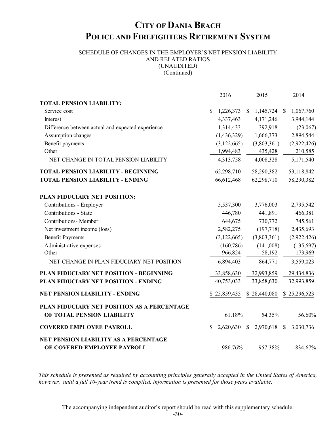## SCHEDULE OF CHANGES IN THE EMPLOYER'S NET PENSION LIABILITY AND RELATED RATIOS (UNAUDITED) (Continued)

2016 2015 2014 **TOTAL PENSION LIABILITY:** Service cost \$ 1,226,373 \$ 1,145,724 \$ 1,067,760 Interest 4,337,463 4,171,246 3,944,144 Difference between actual and expected experience 1,314,433 392,918 (23,067) Assumption changes (1,436,329) 1,666,373 2,894,544 Benefit payments (3,122,665) (3,803,361) (2,922,426) Other 1,994,483 435,428 210,585 NET CHANGE IN TOTAL PENSION LIABILITY 4,313,758 4,008,328 5,171,540 **TOTAL PENSION LIABILITY - BEGINNING** 62,298,710 58,290,382 53,118,842 **TOTAL PENSION LIABILITY - ENDING** 66,612,468 62,298,710 58,290,382 **PLAN FIDUCIARY NET POSITION:** Contributions - Employer 5,537,300 3,776,003 2,795,542 Contributions - State 446,780 441,891 466,381 Contributions- Member 644,675 730,772 745,561 Net investment income (loss) 2,582,275 (197,718) 2,435,693 Benefit Payments (3,122,665) (3,803,361) (2,922,426) Administrative expenses (160,786) (141,008) (135,697) Other 966,824 58,192 173,969 NET CHANGE IN PLAN FIDUCIARY NET POSITION 6,894,403 864,771 3,559,023 **PLAN FIDUCIARY NET POSITION - BEGINNING** 33,858,630 32,993,859 29,434,836 **PLAN FIDUCIARY NET POSITION - ENDING** 40,753,033 33,858,630 32,993,859 **NET PENSION LIABILITY - ENDING** \$ 25,859,435 \$ 28,440,080 \$ 25,296,523 **PLAN FIDUCIARY NET POSITION AS A PERCENTAGE OF TOTAL PENSION LIABILITY** 61.18% 54.35% 56.60% **COVERED EMPLOYEE PAYROLL** \$ 2,620,630 \$ 2,970,618 \$ 3,030,736 **NET PENSION LIABILITY AS A PERCENTAGE OF COVERED EMPLOYEE PAYROLL** 986.76% 957.38% 834.67%

*This schedule is presented as required by accounting principles generally accepted in the United States of America, however, until a full 10-year trend is compiled, information is presented for those years available.*

The accompanying independent auditor's report should be read with this supplementary schedule.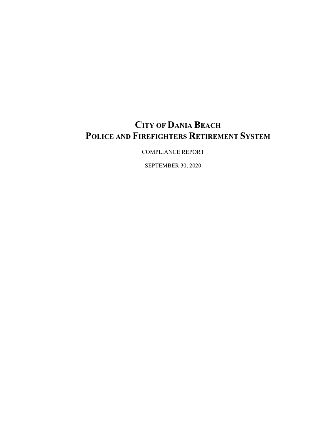COMPLIANCE REPORT

SEPTEMBER 30, 2020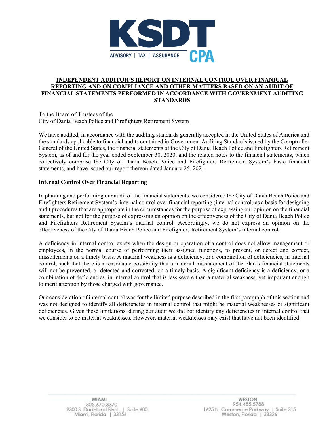

## **INDEPENDENT AUDITOR'S REPORT ON INTERNAL CONTROL OVER FINANICAL REPORTING AND ON COMPLIANCE AND OTHER MATTERS BASED ON AN AUDIT OF FINANCIAL STATEMENTS PERFORMED IN ACCORDANCE WITH GOVERNMENT AUDITING STANDARDS**

To the Board of Trustees of the City of Dania Beach Police and Firefighters Retirement System

We have audited, in accordance with the auditing standards generally accepted in the United States of America and the standards applicable to financial audits contained in Government Auditing Standards issued by the Comptroller General of the United States, the financial statements of the City of Dania Beach Police and Firefighters Retirement System, as of and for the year ended September 30, 2020, and the related notes to the financial statements, which collectively comprise the City of Dania Beach Police and Firefighters Retirement System's basic financial statements, and have issued our report thereon dated January 25, 2021.

## **Internal Control Over Financial Reporting**

In planning and performing our audit of the financial statements, we considered the City of Dania Beach Police and Firefighters Retirement System's internal control over financial reporting (internal control) as a basis for designing audit procedures that are appropriate in the circumstances for the purpose of expressing our opinion on the financial statements, but not for the purpose of expressing an opinion on the effectiveness of the City of Dania Beach Police and Firefighters Retirement System's internal control. Accordingly, we do not express an opinion on the effectiveness of the City of Dania Beach Police and Firefighters Retirement System's internal control.

A deficiency in internal control exists when the design or operation of a control does not allow management or employees, in the normal course of performing their assigned functions, to prevent, or detect and correct, misstatements on a timely basis. A material weakness is a deficiency, or a combination of deficiencies, in internal control, such that there is a reasonable possibility that a material misstatement of the Plan's financial statements will not be prevented, or detected and corrected, on a timely basis. A significant deficiency is a deficiency, or a combination of deficiencies, in internal control that is less severe than a material weakness, yet important enough to merit attention by those charged with governance.

Our consideration of internal control was for the limited purpose described in the first paragraph of this section and was not designed to identify all deficiencies in internal control that might be material weaknesses or significant deficiencies. Given these limitations, during our audit we did not identify any deficiencies in internal control that we consider to be material weaknesses. However, material weaknesses may exist that have not been identified.